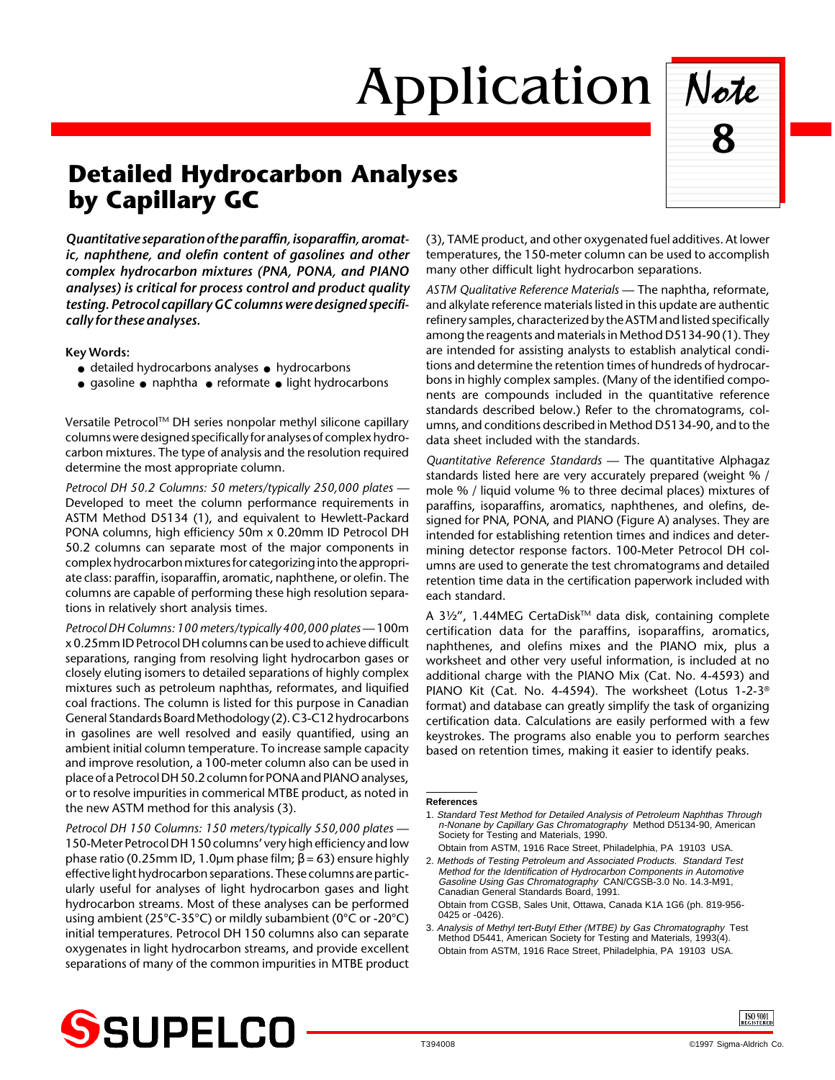## Application Note



## **Detailed Hydrocarbon Analyses by Capillary G**C

*Quantitative separation of the paraffin, isoparaffin, aromatic, naphthene, and olefin content of gasolines and other complex hydrocarbon mixtures (PNA, PONA, and PIANO analyses) is critical for process control and product quality testing. Petrocol capillary GC columns were designed specifically for these analyses.*

**Key Words:**

- detailed hydrocarbons analyses hydrocarbons
- gasoline naphtha reformate light hydrocarbons

Versatile Petrocol™ DH series nonpolar methyl silicone capillary columns were designed specifically for analyses of complex hydrocarbon mixtures. The type of analysis and the resolution required determine the most appropriate column.

*Petrocol DH 50.2 Columns: 50 meters/typically 250,000 plates —* Developed to meet the column performance requirements in ASTM Method D5134 (1), and equivalent to Hewlett-Packard PONA columns, high efficiency 50m x 0.20mm ID Petrocol DH 50.2 columns can separate most of the major components in complex hydrocarbon mixtures for categorizing into the appropriate class: paraffin, isoparaffin, aromatic, naphthene, or olefin. The columns are capable of performing these high resolution separations in relatively short analysis times.

*Petrocol DH Columns: 100 meters/typically 400,000 plates* — 100m x 0.25mm ID Petrocol DH columns can be used to achieve difficult separations, ranging from resolving light hydrocarbon gases or closely eluting isomers to detailed separations of highly complex mixtures such as petroleum naphthas, reformates, and liquified coal fractions. The column is listed for this purpose in Canadian General Standards Board Methodology (2). C3-C12 hydrocarbons in gasolines are well resolved and easily quantified, using an ambient initial column temperature. To increase sample capacity and improve resolution, a 100-meter column also can be used in place of a Petrocol DH 50.2 column for PONA and PIANO analyses, or to resolve impurities in commerical MTBE product, as noted in the new ASTM method for this analysis (3).

*Petrocol DH 150 Columns: 150 meters/typically 550,000 plates* — 150-Meter Petrocol DH 150 columns' very high efficiency and low phase ratio (0.25mm ID, 1.0µm phase film; β = 63) ensure highly effective light hydrocarbon separations. These columns are particularly useful for analyses of light hydrocarbon gases and light hydrocarbon streams. Most of these analyses can be performed using ambient (25°C-35°C) or mildly subambient (0°C or -20°C) initial temperatures. Petrocol DH 150 columns also can separate oxygenates in light hydrocarbon streams, and provide excellent separations of many of the common impurities in MTBE product (3), TAME product, and other oxygenated fuel additives. At lower temperatures, the 150-meter column can be used to accomplish many other difficult light hydrocarbon separations.

*ASTM Qualitative Reference Materials* — The naphtha, reformate, and alkylate reference materials listed in this update are authentic refinery samples, characterized by the ASTM and listed specifically among the reagents and materials in Method D5134-90 (1). They are intended for assisting analysts to establish analytical conditions and determine the retention times of hundreds of hydrocarbons in highly complex samples. (Many of the identified components are compounds included in the quantitative reference standards described below.) Refer to the chromatograms, columns, and conditions described in Method D5134-90, and to the data sheet included with the standards.

*Quantitative Reference Standards* — The quantitative Alphagaz standards listed here are very accurately prepared (weight % / mole % / liquid volume % to three decimal places) mixtures of paraffins, isoparaffins, aromatics, naphthenes, and olefins, designed for PNA, PONA, and PIANO (Figure A) analyses. They are intended for establishing retention times and indices and determining detector response factors. 100-Meter Petrocol DH columns are used to generate the test chromatograms and detailed retention time data in the certification paperwork included with each standard.

A 31/2", 1.44MEG CertaDisk™ data disk, containing complete certification data for the paraffins, isoparaffins, aromatics, naphthenes, and olefins mixes and the PIANO mix, plus a worksheet and other very useful information, is included at no additional charge with the PIANO Mix (Cat. No. 4-4593) and PIANO Kit (Cat. No. 4-4594). The worksheet (Lotus 1-2-3® format) and database can greatly simplify the task of organizing certification data. Calculations are easily performed with a few keystrokes. The programs also enable you to perform searches based on retention times, making it easier to identify peaks.

## **References**

1. Standard Test Method for Detailed Analysis of Petroleum Naphthas Through n-Nonane by Capillary Gas Chromatography Method D5134-90, American Society for Testing and Materials, 1990.

Obtain from ASTM, 1916 Race Street, Philadelphia, PA 19103 USA. 2. Methods of Testing Petroleum and Associated Products. Standard Test Method for the Identification of Hydrocarbon Components in Automotive Gasoline Using Gas Chromatography CAN/CGSB-3.0 No. 14.3-M91, Canadian General Standards Board, 1991. Obtain from CGSB, Sales Unit, Ottawa, Canada K1A 1G6 (ph. 819-956- 0425 or -0426).

3. Analysis of Methyl tert-Butyl Ether (MTBE) by Gas Chromatography Test Method D5441, American Society for Testing and Materials, 1993(4). Obtain from ASTM, 1916 Race Street, Philadelphia, PA 19103 USA.



ISO 9001